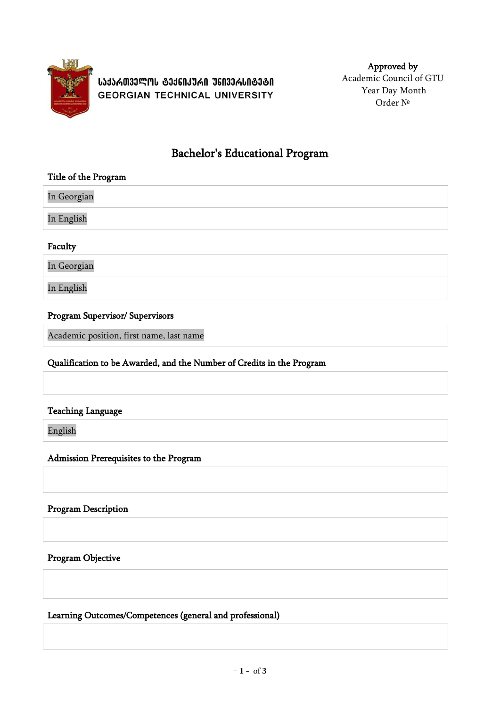

**ᲡᲐᲥᲐᲠᲗᲕᲔᲚᲝᲡ ᲢᲔᲥᲜᲘᲙᲣᲠᲘ ᲣᲜᲘᲕᲔᲠᲡᲘᲢᲔᲢᲘ GEORGIAN TECHNICAL UNIVERSITY** 

Approved by Academic Council of GTU Year Day Month Order №

# Bachelor's Educational Program

#### Title of the Program

In Georgian In English

### Faculty

In Georgian

In English

### Program Supervisor/ Supervisors

Academic position, first name, last name

### Qualification to be Awarded, and the Number of Credits in the Program

#### Teaching Language

English

Admission Prerequisites to the Program

#### Program Description

Program Objective

Learning Outcomes/Competences (general and professional)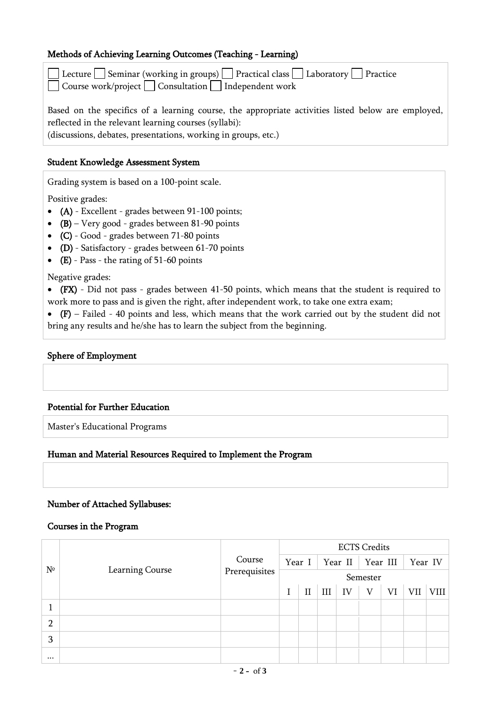### Methods of Achieving Learning Outcomes (Teaching - Learning)

| Lecture   Seminar (working in groups) $\Box$ Practical class $\Box$ Laboratory $\Box$ Practice<br>$\Box$ Course work/project $\Box$ Consultation $\Box$ Independent work |
|--------------------------------------------------------------------------------------------------------------------------------------------------------------------------|
|                                                                                                                                                                          |
| Based on the specifics of a learning course, the appropriate activities listed below are employed,                                                                       |
| reflected in the relevant learning courses (syllabi):                                                                                                                    |
| (discussions, debates, presentations, working in groups, etc.)                                                                                                           |

Student Knowledge Assessment System

Grading system is based on a 100-point scale.

Positive grades:

- (A) Excellent grades between 91-100 points;
- $(B)$  Very good grades between 81-90 points
- (C) Good grades between 71-80 points
- (D) Satisfactory grades between 61-70 points
- (E) Pass the rating of 51-60 points

Negative grades:

 (FX) - Did not pass - grades between 41-50 points, which means that the student is required to work more to pass and is given the right, after independent work, to take one extra exam;

 $\bullet$  (F) – Failed - 40 points and less, which means that the work carried out by the student did not bring any results and he/she has to learn the subject from the beginning.

#### Sphere of Employment

#### Potential for Further Education

Master's Educational Programs

#### Human and Material Resources Required to Implement the Program

#### Number of Attached Syllabuses:

#### Courses in the Program

| N <sup>o</sup> | Learning Course | Course<br>Prerequisites | <b>ECTS Credits</b> |          |     |                    |   |         |     |      |  |  |
|----------------|-----------------|-------------------------|---------------------|----------|-----|--------------------|---|---------|-----|------|--|--|
|                |                 |                         |                     | Year I   |     | Year II   Year III |   | Year IV |     |      |  |  |
|                |                 |                         | Semester            |          |     |                    |   |         |     |      |  |  |
|                |                 |                         |                     | $\rm II$ | III | IV                 | V | VI      | VII | VIII |  |  |
|                |                 |                         |                     |          |     |                    |   |         |     |      |  |  |
| $\overline{2}$ |                 |                         |                     |          |     |                    |   |         |     |      |  |  |
| 3              |                 |                         |                     |          |     |                    |   |         |     |      |  |  |
| $\cdots$       |                 |                         |                     |          |     |                    |   |         |     |      |  |  |